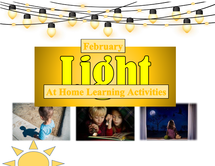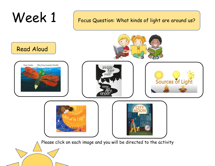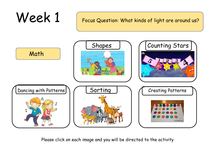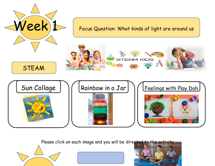

Please click on each image and you will be dire[cted to the activity](https://youtu.be/eqCw0MAYqsk)





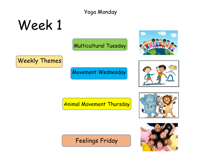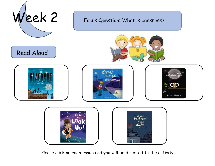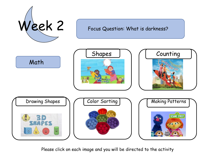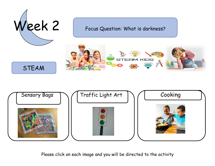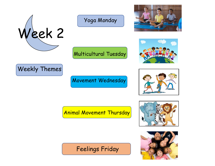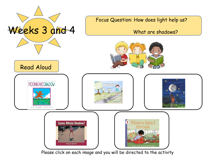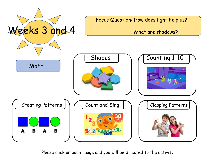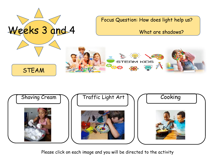